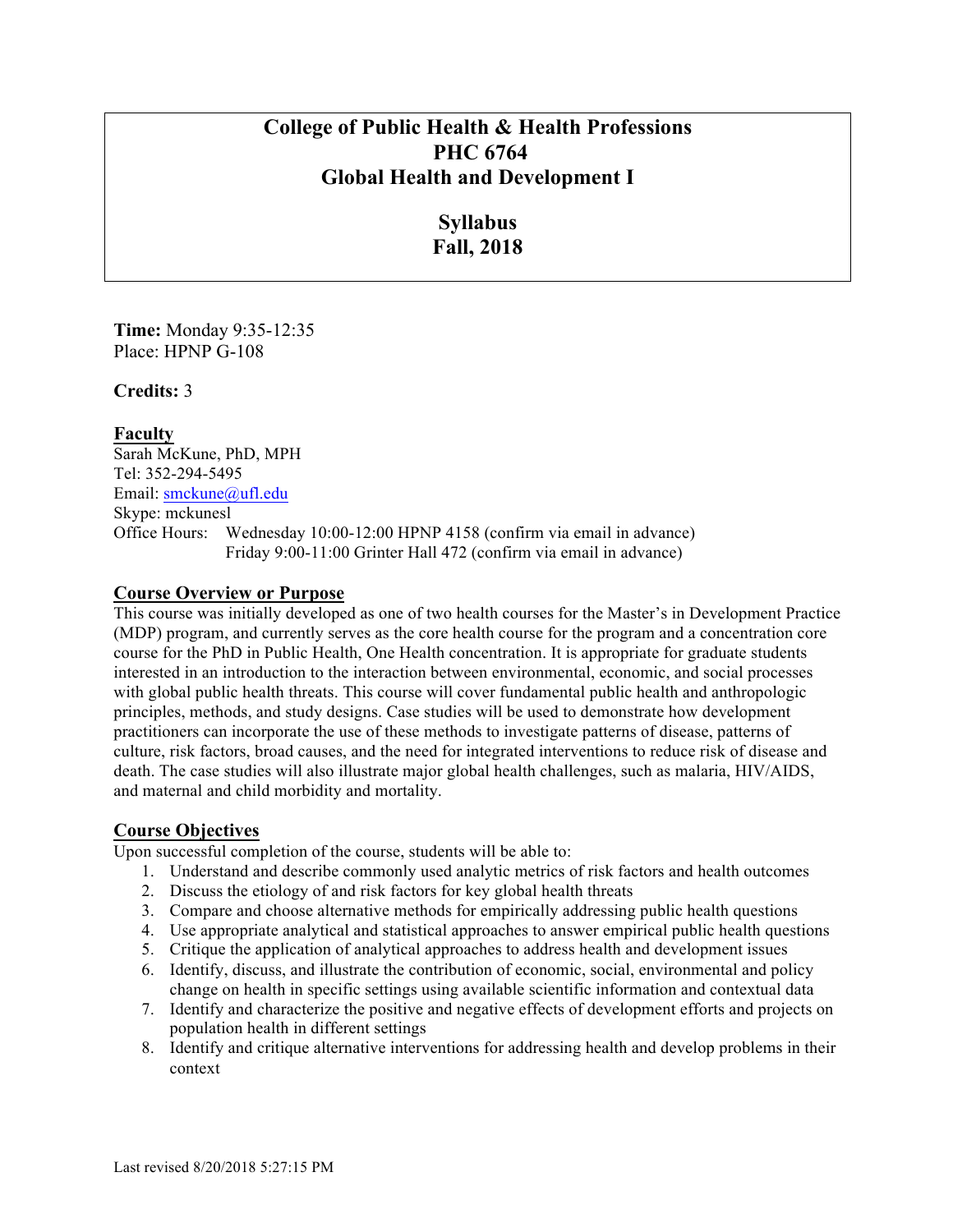# **College of Public Health & Health Professions PHC 6764 Global Health and Development I**

# **Syllabus Fall, 2018**

**Time:** Monday 9:35-12:35 Place: HPNP G-108

**Credits:** 3

**Faculty** Sarah McKune, PhD, MPH Tel: 352-294-5495 Email: smckune@ufl.edu Skype: mckunesl Office Hours: Wednesday 10:00-12:00 HPNP 4158 (confirm via email in advance) Friday 9:00-11:00 Grinter Hall 472 (confirm via email in advance)

### **Course Overview or Purpose**

This course was initially developed as one of two health courses for the Master's in Development Practice (MDP) program, and currently serves as the core health course for the program and a concentration core course for the PhD in Public Health, One Health concentration. It is appropriate for graduate students interested in an introduction to the interaction between environmental, economic, and social processes with global public health threats. This course will cover fundamental public health and anthropologic principles, methods, and study designs. Case studies will be used to demonstrate how development practitioners can incorporate the use of these methods to investigate patterns of disease, patterns of culture, risk factors, broad causes, and the need for integrated interventions to reduce risk of disease and death. The case studies will also illustrate major global health challenges, such as malaria, HIV/AIDS, and maternal and child morbidity and mortality.

## **Course Objectives**

Upon successful completion of the course, students will be able to:

- 1. Understand and describe commonly used analytic metrics of risk factors and health outcomes
- 2. Discuss the etiology of and risk factors for key global health threats
- 3. Compare and choose alternative methods for empirically addressing public health questions
- 4. Use appropriate analytical and statistical approaches to answer empirical public health questions
- 5. Critique the application of analytical approaches to address health and development issues
- 6. Identify, discuss, and illustrate the contribution of economic, social, environmental and policy change on health in specific settings using available scientific information and contextual data
- 7. Identify and characterize the positive and negative effects of development efforts and projects on population health in different settings
- 8. Identify and critique alternative interventions for addressing health and develop problems in their context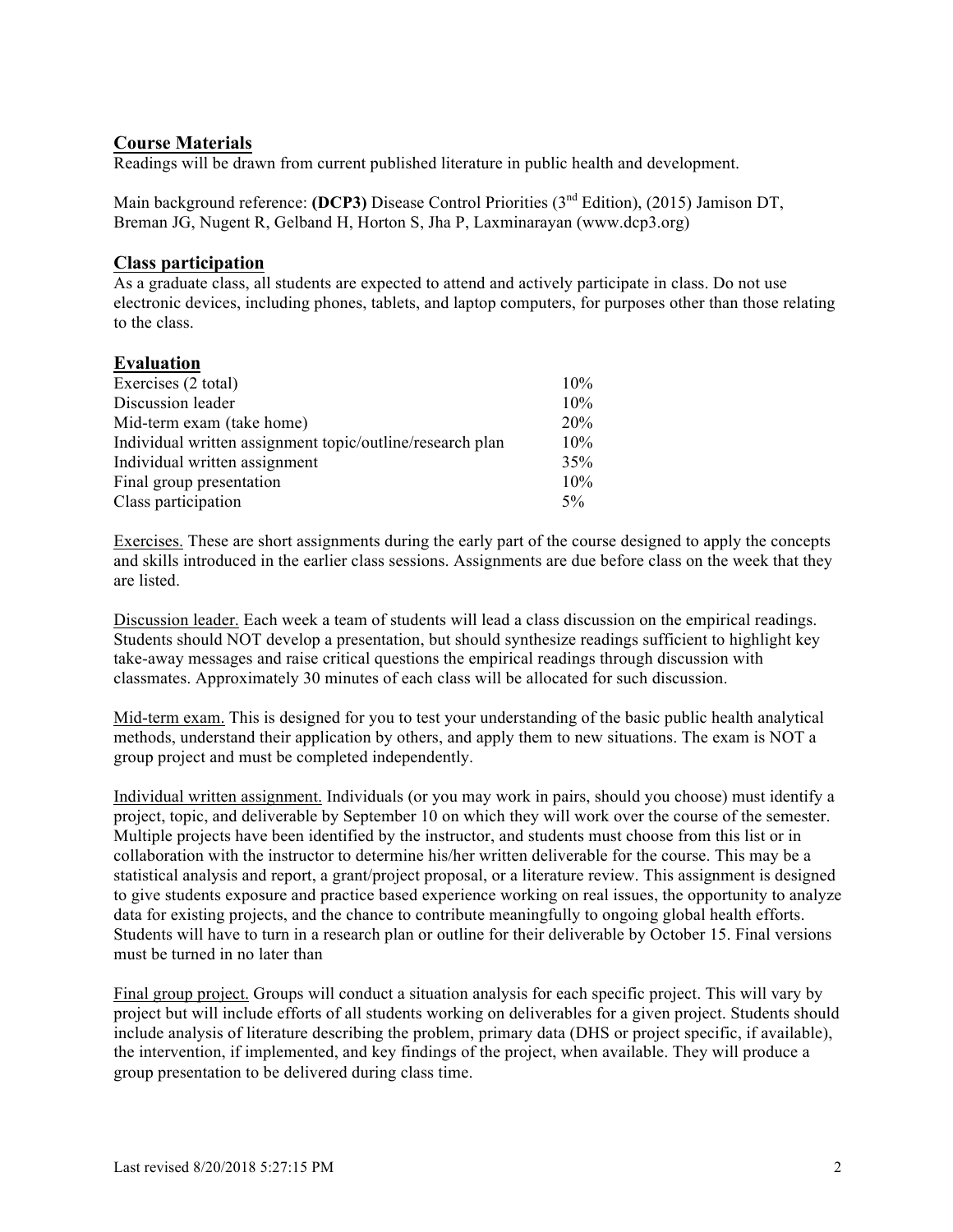### **Course Materials**

Readings will be drawn from current published literature in public health and development.

Main background reference: **(DCP3)** Disease Control Priorities (3<sup>nd</sup> Edition), (2015) Jamison DT, Breman JG, Nugent R, Gelband H, Horton S, Jha P, Laxminarayan (www.dcp3.org)

#### **Class participation**

As a graduate class, all students are expected to attend and actively participate in class. Do not use electronic devices, including phones, tablets, and laptop computers, for purposes other than those relating to the class.

#### **Evaluation**

| 10%   |
|-------|
| 10%   |
| 20%   |
| 10%   |
| 35%   |
| 10%   |
| $5\%$ |
|       |

Exercises. These are short assignments during the early part of the course designed to apply the concepts and skills introduced in the earlier class sessions. Assignments are due before class on the week that they are listed.

Discussion leader. Each week a team of students will lead a class discussion on the empirical readings. Students should NOT develop a presentation, but should synthesize readings sufficient to highlight key take-away messages and raise critical questions the empirical readings through discussion with classmates. Approximately 30 minutes of each class will be allocated for such discussion.

Mid-term exam. This is designed for you to test your understanding of the basic public health analytical methods, understand their application by others, and apply them to new situations. The exam is NOT a group project and must be completed independently.

Individual written assignment. Individuals (or you may work in pairs, should you choose) must identify a project, topic, and deliverable by September 10 on which they will work over the course of the semester. Multiple projects have been identified by the instructor, and students must choose from this list or in collaboration with the instructor to determine his/her written deliverable for the course. This may be a statistical analysis and report, a grant/project proposal, or a literature review. This assignment is designed to give students exposure and practice based experience working on real issues, the opportunity to analyze data for existing projects, and the chance to contribute meaningfully to ongoing global health efforts. Students will have to turn in a research plan or outline for their deliverable by October 15. Final versions must be turned in no later than

Final group project. Groups will conduct a situation analysis for each specific project. This will vary by project but will include efforts of all students working on deliverables for a given project. Students should include analysis of literature describing the problem, primary data (DHS or project specific, if available), the intervention, if implemented, and key findings of the project, when available. They will produce a group presentation to be delivered during class time.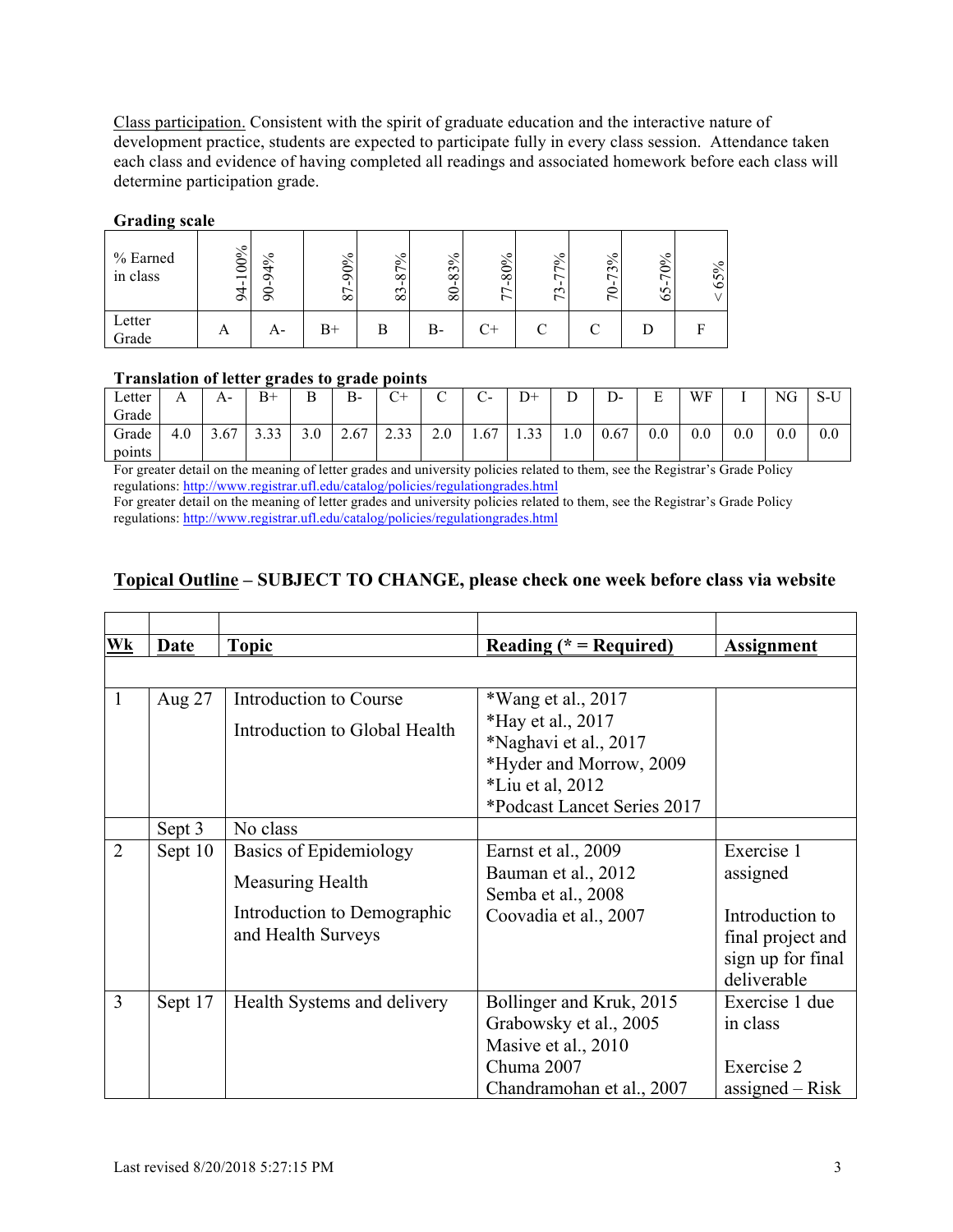Class participation. Consistent with the spirit of graduate education and the interactive nature of development practice, students are expected to participate fully in every class session. Attendance taken each class and evidence of having completed all readings and associated homework before each class will determine participation grade.

#### **Grading scale**

| % Earned<br>in class | 100%<br>$\circ$ | ╰०<br>$\circ$<br>σ<br>⋍<br>⌒ | ╰०<br>$90\%$<br>$\infty$ | ╰०<br>$\circ$<br>$\infty$<br>$\sim$<br>$\infty$ | ╰०<br>$\circ$<br>$\sim$<br>$\infty$<br>$\infty$ | ╰०<br>$80\%$<br>∼ | ╰०<br>$\circ$<br>$\sim$<br>$\overline{ }$ | ╰०<br>$\circ$<br>$\mathbf{\hat{z}}$<br>∼<br>⊂<br>$\overline{ }$ | ∾<br>$\geq$<br>n<br>७ | ್-<br>$\circ$<br>$\sim$<br>ن |
|----------------------|-----------------|------------------------------|--------------------------|-------------------------------------------------|-------------------------------------------------|-------------------|-------------------------------------------|-----------------------------------------------------------------|-----------------------|------------------------------|
| Letter<br>Grade      | A               | A-                           | B+                       | В                                               | В-                                              | C+                | ⌒                                         |                                                                 |                       |                              |

#### **Translation of letter grades to grade points**

| Letter<br>Grade | $\overline{1}$ | А-   | B+           | Β   | $B-$ | $\sim$ $\sim$ | ⌒<br>◡ | $\sim$<br>$\overline{\phantom{0}}$<br>◡ | D+                | $\overline{\phantom{a}}$<br>◡ | <sub>n</sub><br>D- | <b>D</b><br>ы | WF      |     | NG      | $\alpha$ $\bf{r}$<br>3-U |
|-----------------|----------------|------|--------------|-----|------|---------------|--------|-----------------------------------------|-------------------|-------------------------------|--------------------|---------------|---------|-----|---------|--------------------------|
| Grade<br>points | 4.0            | 3.67 | 2.22<br>3.33 | 3.0 | 2.67 | 222<br>ر ر .  | 2.0    | 1.67                                    | $\bigcap$<br>1.JJ | 1.0                           | 0.67               | 0.0           | $0.0\,$ | 0.0 | $0.0\,$ | 0.0                      |

For greater detail on the meaning of letter grades and university policies related to them, see the Registrar's Grade Policy regulations: http://www.registrar.ufl.edu/catalog/policies/regulationgrades.html

For greater detail on the meaning of letter grades and university policies related to them, see the Registrar's Grade Policy regulations: http://www.registrar.ufl.edu/catalog/policies/regulationgrades.html

# **Topical Outline – SUBJECT TO CHANGE, please check one week before class via website**

| Wk             | Date    | <b>Topic</b>                  | Reading ( $*$ = Required)   | <b>Assignment</b> |
|----------------|---------|-------------------------------|-----------------------------|-------------------|
|                |         |                               |                             |                   |
| 1              | Aug 27  | Introduction to Course        | *Wang et al., 2017          |                   |
|                |         | Introduction to Global Health | *Hay et al., 2017           |                   |
|                |         |                               | *Naghavi et al., 2017       |                   |
|                |         |                               | *Hyder and Morrow, 2009     |                   |
|                |         |                               | $*$ Liu et al, 2012         |                   |
|                |         |                               | *Podcast Lancet Series 2017 |                   |
|                | Sept 3  | No class                      |                             |                   |
| $\overline{2}$ | Sept 10 | Basics of Epidemiology        | Earnst et al., 2009         | Exercise 1        |
|                |         | Measuring Health              | Bauman et al., 2012         | assigned          |
|                |         |                               | Semba et al., 2008          |                   |
|                |         | Introduction to Demographic   | Coovadia et al., 2007       | Introduction to   |
|                |         | and Health Surveys            |                             | final project and |
|                |         |                               |                             | sign up for final |
|                |         |                               |                             | deliverable       |
| $\overline{3}$ | Sept 17 | Health Systems and delivery   | Bollinger and Kruk, 2015    | Exercise 1 due    |
|                |         |                               | Grabowsky et al., 2005      | in class          |
|                |         |                               | Masive et al., 2010         |                   |
|                |         |                               | Chuma 2007                  | Exercise 2        |
|                |         |                               | Chandramohan et al., 2007   | assigned $-$ Risk |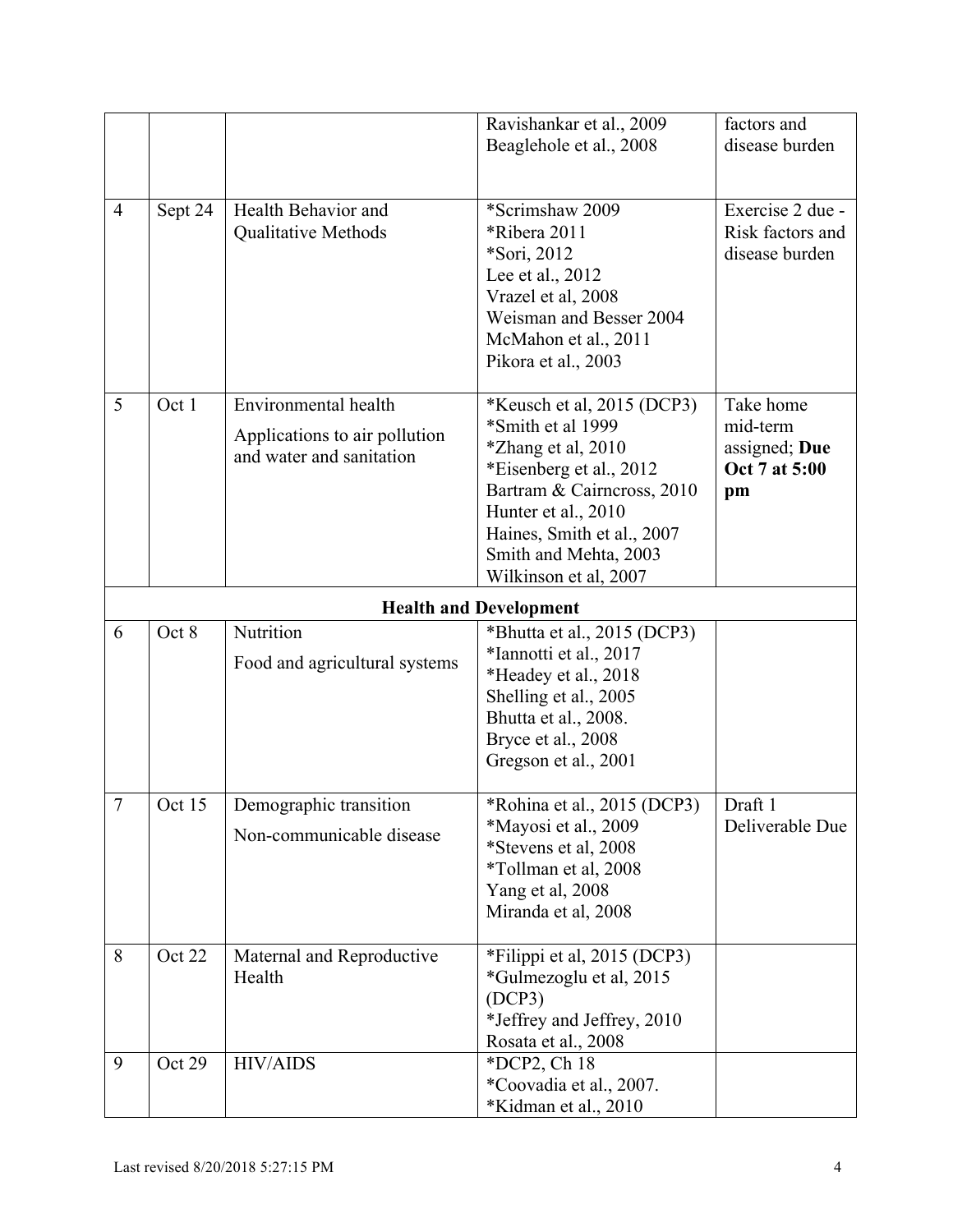|                |         |                                                                                   | Ravishankar et al., 2009<br>Beaglehole et al., 2008                                                                                                                                                                                          | factors and<br>disease burden                                 |
|----------------|---------|-----------------------------------------------------------------------------------|----------------------------------------------------------------------------------------------------------------------------------------------------------------------------------------------------------------------------------------------|---------------------------------------------------------------|
| $\overline{4}$ | Sept 24 | Health Behavior and<br><b>Qualitative Methods</b>                                 | *Scrimshaw 2009<br>*Ribera 2011<br>*Sori, 2012<br>Lee et al., 2012<br>Vrazel et al, 2008<br>Weisman and Besser 2004<br>McMahon et al., 2011<br>Pikora et al., 2003                                                                           | Exercise 2 due -<br>Risk factors and<br>disease burden        |
| 5              | Oct 1   | Environmental health<br>Applications to air pollution<br>and water and sanitation | *Keusch et al, 2015 (DCP3)<br>*Smith et al 1999<br><i>*Zhang et al, 2010</i><br>*Eisenberg et al., 2012<br>Bartram & Cairneross, 2010<br>Hunter et al., 2010<br>Haines, Smith et al., 2007<br>Smith and Mehta, 2003<br>Wilkinson et al, 2007 | Take home<br>mid-term<br>assigned; Due<br>Oct 7 at 5:00<br>pm |
|                |         |                                                                                   | <b>Health and Development</b>                                                                                                                                                                                                                |                                                               |
| 6              | Oct 8   | Nutrition<br>Food and agricultural systems                                        | *Bhutta et al., 2015 (DCP3)<br>*Iannotti et al., 2017<br>*Headey et al., 2018<br>Shelling et al., 2005<br>Bhutta et al., 2008.<br>Bryce et al., 2008<br>Gregson et al., 2001                                                                 |                                                               |
| $\overline{7}$ | Oct 15  | Demographic transition<br>Non-communicable disease                                | *Rohina et al., 2015 (DCP3)<br>*Mayosi et al., 2009<br>*Stevens et al, 2008<br>*Tollman et al, 2008<br>Yang et al, 2008<br>Miranda et al, 2008                                                                                               | Draft 1<br>Deliverable Due                                    |
| 8              | Oct 22  | Maternal and Reproductive<br>Health                                               | *Filippi et al, 2015 (DCP3)<br>*Gulmezoglu et al, 2015<br>(DCP3)<br>*Jeffrey and Jeffrey, 2010<br>Rosata et al., 2008                                                                                                                        |                                                               |
| 9              | Oct 29  | <b>HIV/AIDS</b>                                                                   | *DCP2, Ch 18<br>*Coovadia et al., 2007.<br>*Kidman et al., 2010                                                                                                                                                                              |                                                               |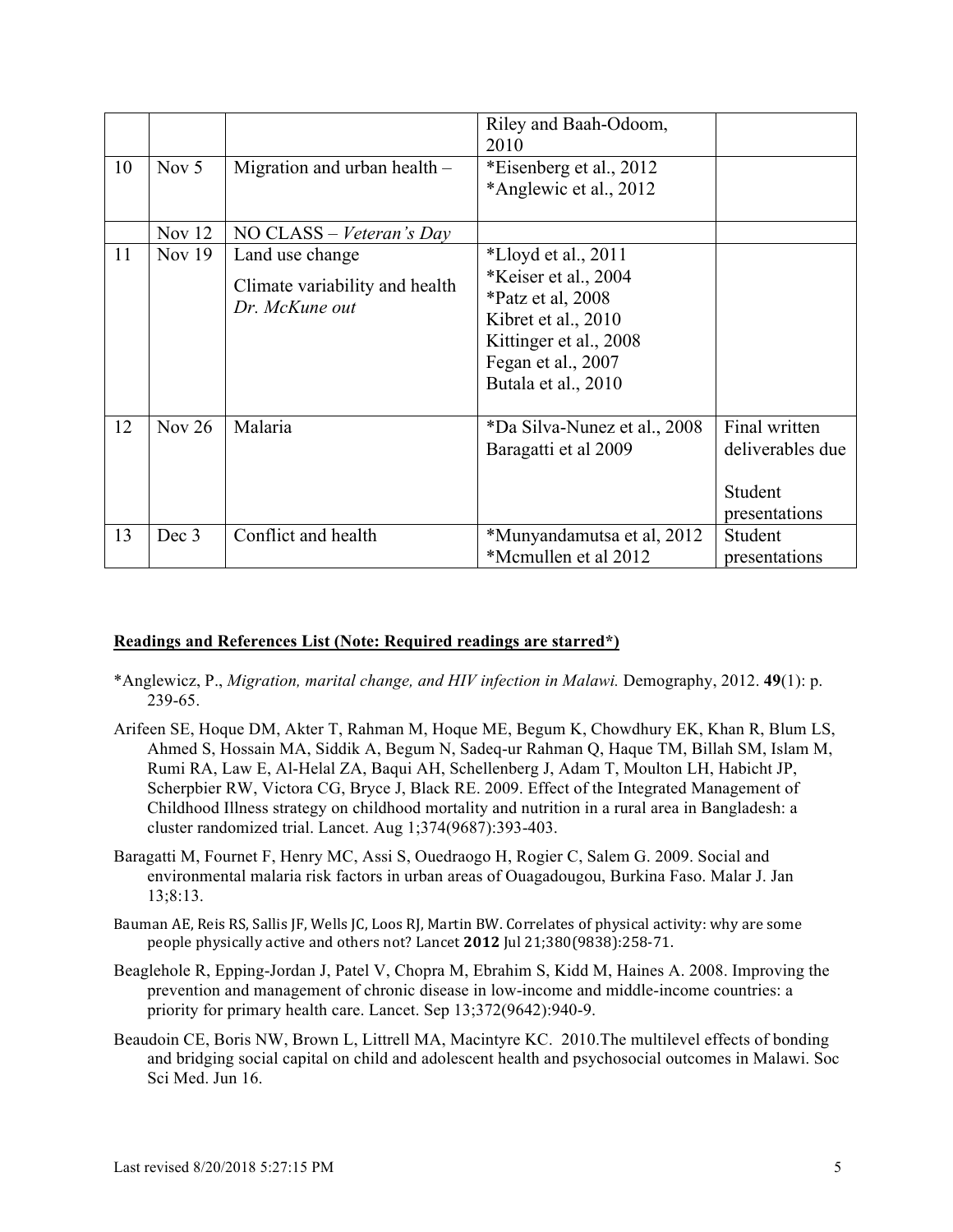|    |          |                                                                     | Riley and Baah-Odoom,<br>2010                                                                                                                                    |                                                               |
|----|----------|---------------------------------------------------------------------|------------------------------------------------------------------------------------------------------------------------------------------------------------------|---------------------------------------------------------------|
| 10 | Nov $5$  | Migration and urban health $-$                                      | *Eisenberg et al., 2012<br>*Anglewic et al., 2012                                                                                                                |                                                               |
|    | Nov $12$ | NO CLASS – Veteran's Day                                            |                                                                                                                                                                  |                                                               |
| 11 | Nov $19$ | Land use change<br>Climate variability and health<br>Dr. McKune out | *Lloyd et al., $2011$<br>*Keiser et al., 2004<br>*Patz et al, 2008<br>Kibret et al., 2010<br>Kittinger et al., 2008<br>Fegan et al., 2007<br>Butala et al., 2010 |                                                               |
| 12 | Nov $26$ | Malaria                                                             | *Da Silva-Nunez et al., 2008<br>Baragatti et al 2009                                                                                                             | Final written<br>deliverables due<br>Student<br>presentations |
| 13 | Dec 3    | Conflict and health                                                 | *Munyandamutsa et al, 2012<br>*Mcmullen et al 2012                                                                                                               | Student<br>presentations                                      |

#### **Readings and References List (Note: Required readings are starred\*)**

- \*Anglewicz, P., *Migration, marital change, and HIV infection in Malawi.* Demography, 2012. **49**(1): p. 239-65.
- Arifeen SE, Hoque DM, Akter T, Rahman M, Hoque ME, Begum K, Chowdhury EK, Khan R, Blum LS, Ahmed S, Hossain MA, Siddik A, Begum N, Sadeq-ur Rahman Q, Haque TM, Billah SM, Islam M, Rumi RA, Law E, Al-Helal ZA, Baqui AH, Schellenberg J, Adam T, Moulton LH, Habicht JP, Scherpbier RW, Victora CG, Bryce J, Black RE. 2009. Effect of the Integrated Management of Childhood Illness strategy on childhood mortality and nutrition in a rural area in Bangladesh: a cluster randomized trial. Lancet. Aug 1;374(9687):393-403.
- Baragatti M, Fournet F, Henry MC, Assi S, Ouedraogo H, Rogier C, Salem G. 2009. Social and environmental malaria risk factors in urban areas of Ouagadougou, Burkina Faso. Malar J. Jan 13;8:13.
- Bauman AE, Reis RS, Sallis JF, Wells JC, Loos RJ, Martin BW. Correlates of physical activity: why are some people physically active and others not? Lancet 2012 Jul 21;380(9838):258-71.
- Beaglehole R, Epping-Jordan J, Patel V, Chopra M, Ebrahim S, Kidd M, Haines A. 2008. Improving the prevention and management of chronic disease in low-income and middle-income countries: a priority for primary health care. Lancet. Sep 13;372(9642):940-9.
- Beaudoin CE, Boris NW, Brown L, Littrell MA, Macintyre KC. 2010.The multilevel effects of bonding and bridging social capital on child and adolescent health and psychosocial outcomes in Malawi. Soc Sci Med. Jun 16.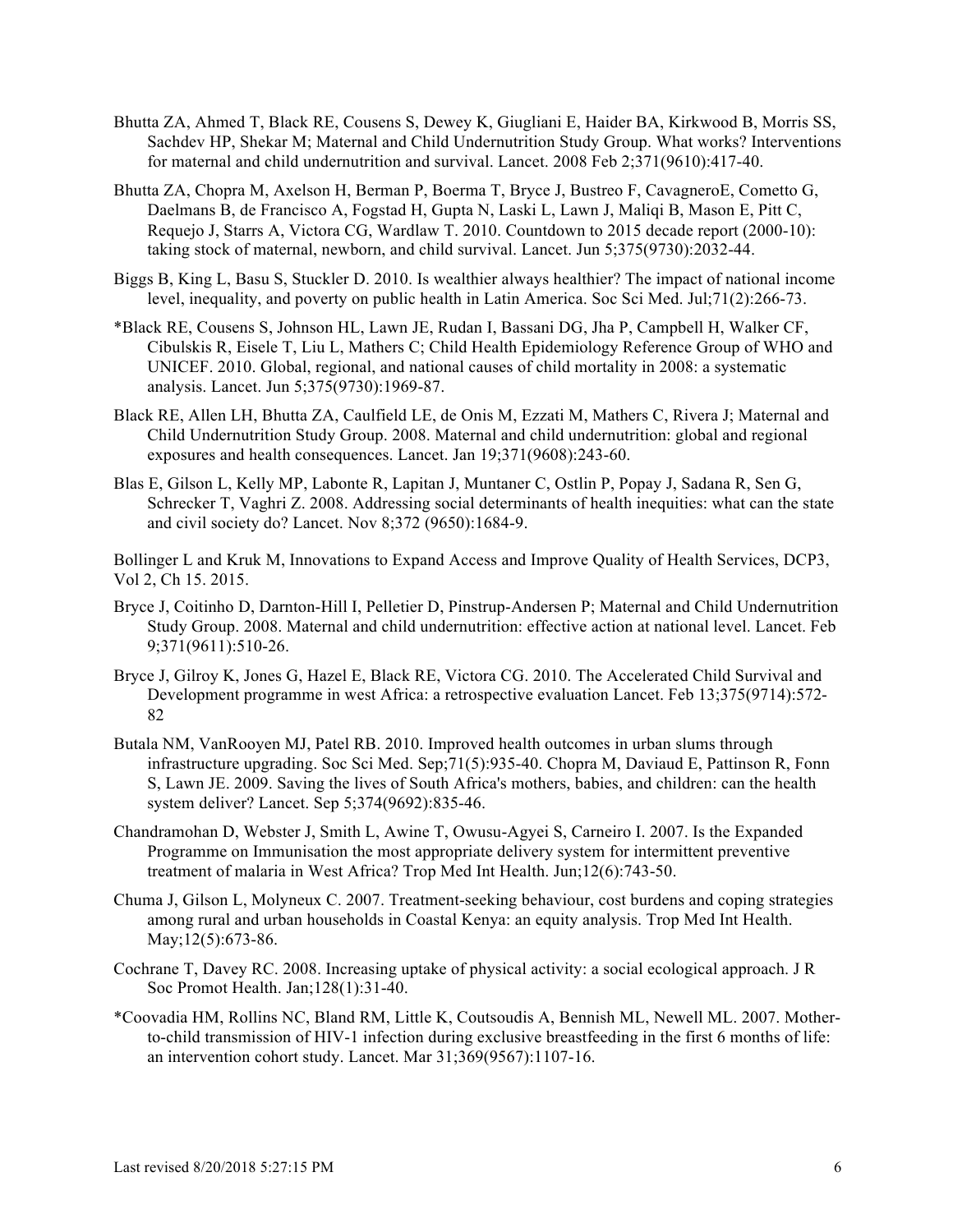- Bhutta ZA, Ahmed T, Black RE, Cousens S, Dewey K, Giugliani E, Haider BA, Kirkwood B, Morris SS, Sachdev HP, Shekar M; Maternal and Child Undernutrition Study Group. What works? Interventions for maternal and child undernutrition and survival. Lancet. 2008 Feb 2;371(9610):417-40.
- Bhutta ZA, Chopra M, Axelson H, Berman P, Boerma T, Bryce J, Bustreo F, CavagneroE, Cometto G, Daelmans B, de Francisco A, Fogstad H, Gupta N, Laski L, Lawn J, Maliqi B, Mason E, Pitt C, Requejo J, Starrs A, Victora CG, Wardlaw T. 2010. Countdown to 2015 decade report (2000-10): taking stock of maternal, newborn, and child survival. Lancet. Jun 5;375(9730):2032-44.
- Biggs B, King L, Basu S, Stuckler D. 2010. Is wealthier always healthier? The impact of national income level, inequality, and poverty on public health in Latin America. Soc Sci Med. Jul;71(2):266-73.
- \*Black RE, Cousens S, Johnson HL, Lawn JE, Rudan I, Bassani DG, Jha P, Campbell H, Walker CF, Cibulskis R, Eisele T, Liu L, Mathers C; Child Health Epidemiology Reference Group of WHO and UNICEF. 2010. Global, regional, and national causes of child mortality in 2008: a systematic analysis. Lancet. Jun 5;375(9730):1969-87.
- Black RE, Allen LH, Bhutta ZA, Caulfield LE, de Onis M, Ezzati M, Mathers C, Rivera J; Maternal and Child Undernutrition Study Group. 2008. Maternal and child undernutrition: global and regional exposures and health consequences. Lancet. Jan 19;371(9608):243-60.
- Blas E, Gilson L, Kelly MP, Labonte R, Lapitan J, Muntaner C, Ostlin P, Popay J, Sadana R, Sen G, Schrecker T, Vaghri Z. 2008. Addressing social determinants of health inequities: what can the state and civil society do? Lancet. Nov 8;372 (9650):1684-9.

Bollinger L and Kruk M, Innovations to Expand Access and Improve Quality of Health Services, DCP3, Vol 2, Ch 15. 2015.

- Bryce J, Coitinho D, Darnton-Hill I, Pelletier D, Pinstrup-Andersen P; Maternal and Child Undernutrition Study Group. 2008. Maternal and child undernutrition: effective action at national level. Lancet. Feb 9;371(9611):510-26.
- Bryce J, Gilroy K, Jones G, Hazel E, Black RE, Victora CG. 2010. The Accelerated Child Survival and Development programme in west Africa: a retrospective evaluation Lancet. Feb 13;375(9714):572- 82
- Butala NM, VanRooyen MJ, Patel RB. 2010. Improved health outcomes in urban slums through infrastructure upgrading. Soc Sci Med. Sep;71(5):935-40. Chopra M, Daviaud E, Pattinson R, Fonn S, Lawn JE. 2009. Saving the lives of South Africa's mothers, babies, and children: can the health system deliver? Lancet. Sep 5;374(9692):835-46.
- Chandramohan D, Webster J, Smith L, Awine T, Owusu-Agyei S, Carneiro I. 2007. Is the Expanded Programme on Immunisation the most appropriate delivery system for intermittent preventive treatment of malaria in West Africa? Trop Med Int Health. Jun;12(6):743-50.
- Chuma J, Gilson L, Molyneux C. 2007. Treatment-seeking behaviour, cost burdens and coping strategies among rural and urban households in Coastal Kenya: an equity analysis. Trop Med Int Health. May;12(5):673-86.
- Cochrane T, Davey RC. 2008. Increasing uptake of physical activity: a social ecological approach. J R Soc Promot Health. Jan;128(1):31-40.
- \*Coovadia HM, Rollins NC, Bland RM, Little K, Coutsoudis A, Bennish ML, Newell ML. 2007. Motherto-child transmission of HIV-1 infection during exclusive breastfeeding in the first 6 months of life: an intervention cohort study. Lancet. Mar 31;369(9567):1107-16.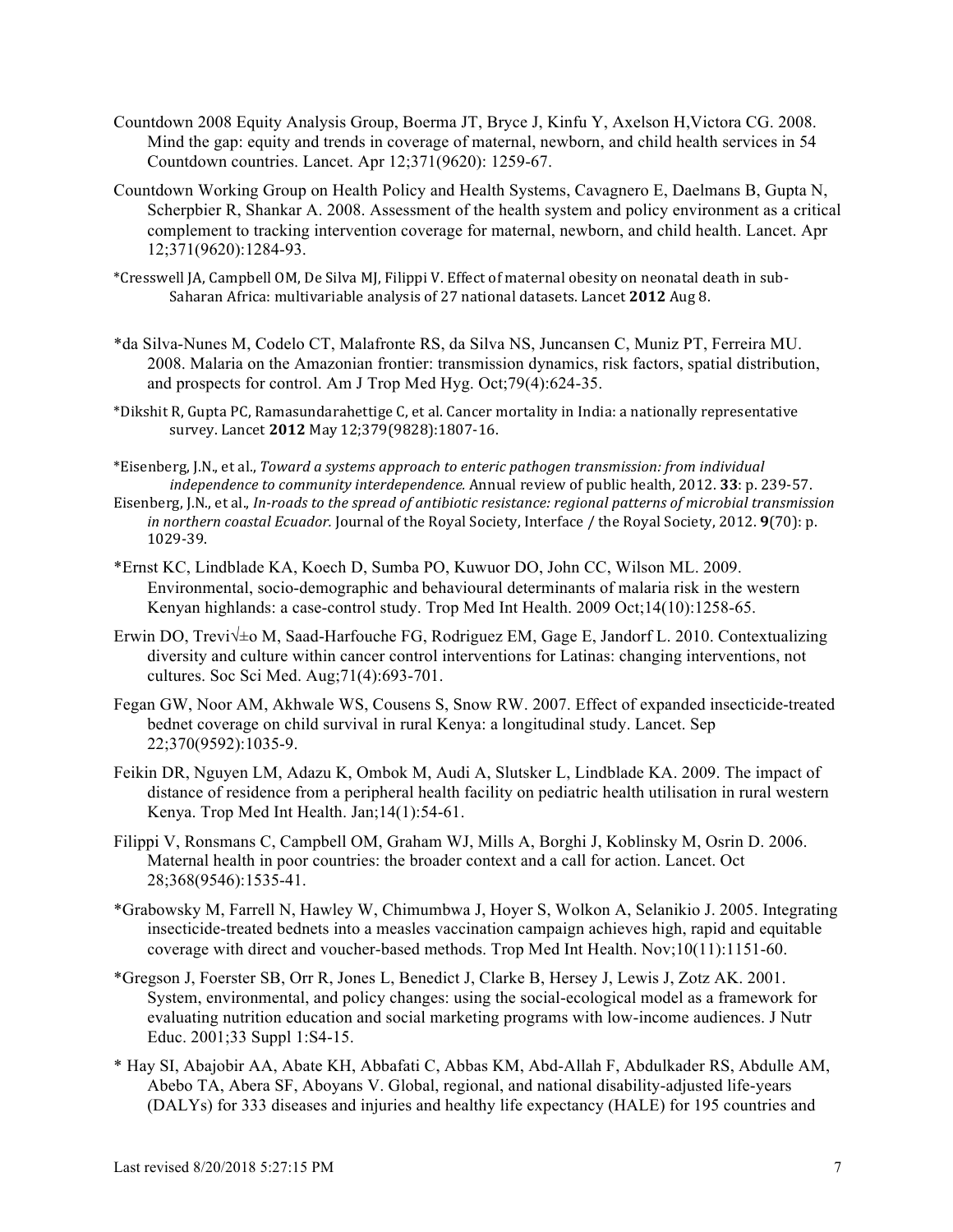- Countdown 2008 Equity Analysis Group, Boerma JT, Bryce J, Kinfu Y, Axelson H,Victora CG. 2008. Mind the gap: equity and trends in coverage of maternal, newborn, and child health services in 54 Countdown countries. Lancet. Apr 12;371(9620): 1259-67.
- Countdown Working Group on Health Policy and Health Systems, Cavagnero E, Daelmans B, Gupta N, Scherpbier R, Shankar A. 2008. Assessment of the health system and policy environment as a critical complement to tracking intervention coverage for maternal, newborn, and child health. Lancet. Apr 12;371(9620):1284-93.
- \*Cresswell JA, Campbell OM, De Silva MJ, Filippi V. Effect of maternal obesity on neonatal death in sub-Saharan Africa: multivariable analysis of 27 national datasets. Lancet 2012 Aug 8.
- \*da Silva-Nunes M, Codelo CT, Malafronte RS, da Silva NS, Juncansen C, Muniz PT, Ferreira MU. 2008. Malaria on the Amazonian frontier: transmission dynamics, risk factors, spatial distribution, and prospects for control. Am J Trop Med Hyg. Oct;79(4):624-35.
- \*Dikshit R, Gupta PC, Ramasundarahettige C, et al. Cancer mortality in India: a nationally representative survey. Lancet **2012** May 12;379(9828):1807-16.
- \*Eisenberg, J.N., et al., *Toward a systems approach to enteric pathogen transmission: from individual independence to community interdependence.* Annual review of public health, 2012. **33**: p. 239-57.
- Eisenberg, J.N., et al., *In-roads to the spread of antibiotic resistance: regional patterns of microbial transmission in northern coastal Ecuador.* Journal of the Royal Society, Interface / the Royal Society, 2012. **9**(70): p. 1029-39.
- \*Ernst KC, Lindblade KA, Koech D, Sumba PO, Kuwuor DO, John CC, Wilson ML. 2009. Environmental, socio-demographic and behavioural determinants of malaria risk in the western Kenyan highlands: a case-control study. Trop Med Int Health. 2009 Oct;14(10):1258-65.
- Erwin DO, Trevi√±o M, Saad-Harfouche FG, Rodriguez EM, Gage E, Jandorf L. 2010. Contextualizing diversity and culture within cancer control interventions for Latinas: changing interventions, not cultures. Soc Sci Med. Aug;71(4):693-701.
- Fegan GW, Noor AM, Akhwale WS, Cousens S, Snow RW. 2007. Effect of expanded insecticide-treated bednet coverage on child survival in rural Kenya: a longitudinal study. Lancet. Sep 22;370(9592):1035-9.
- Feikin DR, Nguyen LM, Adazu K, Ombok M, Audi A, Slutsker L, Lindblade KA. 2009. The impact of distance of residence from a peripheral health facility on pediatric health utilisation in rural western Kenya. Trop Med Int Health. Jan;14(1):54-61.
- Filippi V, Ronsmans C, Campbell OM, Graham WJ, Mills A, Borghi J, Koblinsky M, Osrin D. 2006. Maternal health in poor countries: the broader context and a call for action. Lancet. Oct 28;368(9546):1535-41.
- \*Grabowsky M, Farrell N, Hawley W, Chimumbwa J, Hoyer S, Wolkon A, Selanikio J. 2005. Integrating insecticide-treated bednets into a measles vaccination campaign achieves high, rapid and equitable coverage with direct and voucher-based methods. Trop Med Int Health. Nov;10(11):1151-60.
- \*Gregson J, Foerster SB, Orr R, Jones L, Benedict J, Clarke B, Hersey J, Lewis J, Zotz AK. 2001. System, environmental, and policy changes: using the social-ecological model as a framework for evaluating nutrition education and social marketing programs with low-income audiences. J Nutr Educ. 2001;33 Suppl 1:S4-15.
- \* Hay SI, Abajobir AA, Abate KH, Abbafati C, Abbas KM, Abd-Allah F, Abdulkader RS, Abdulle AM, Abebo TA, Abera SF, Aboyans V. Global, regional, and national disability-adjusted life-years (DALYs) for 333 diseases and injuries and healthy life expectancy (HALE) for 195 countries and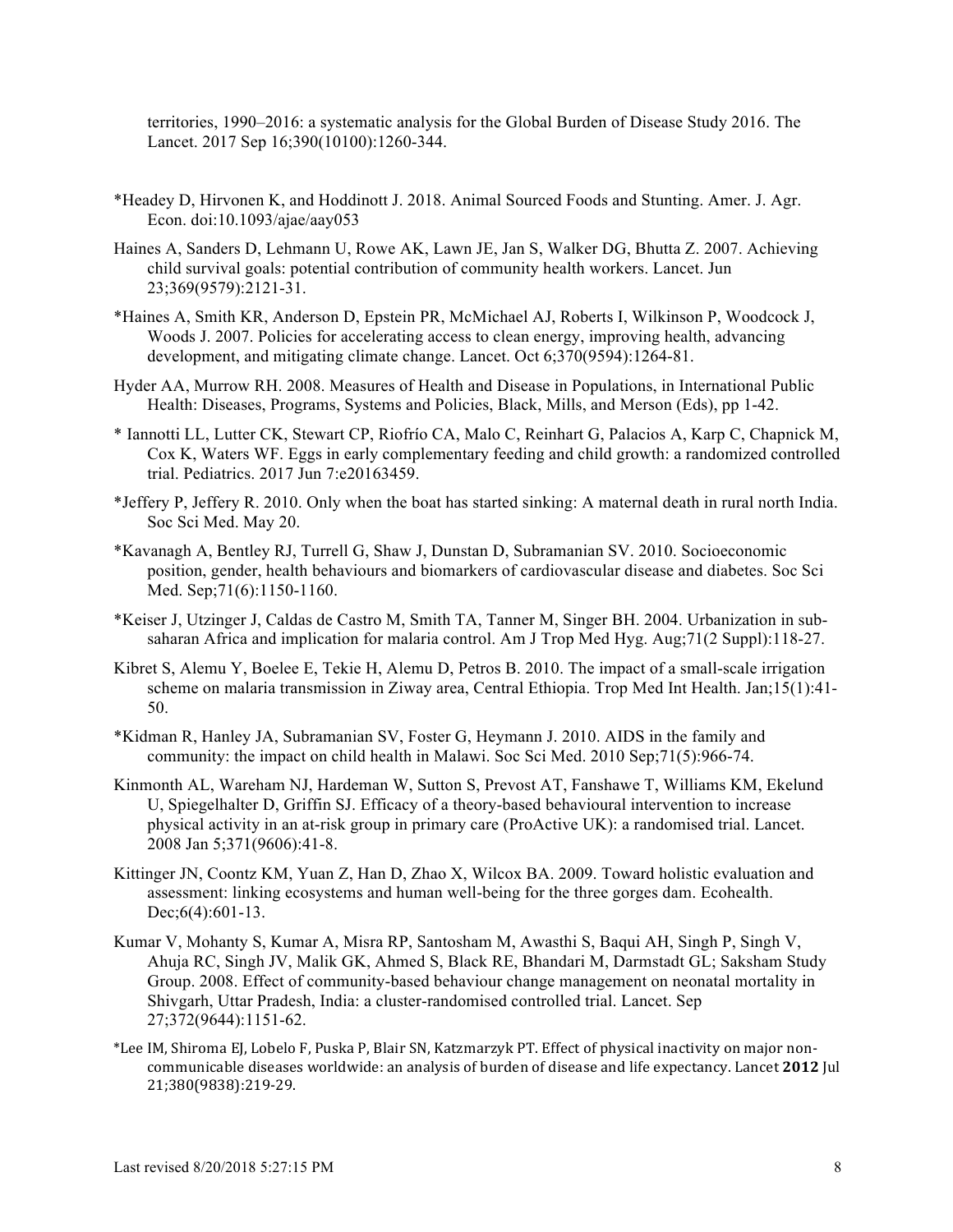territories, 1990–2016: a systematic analysis for the Global Burden of Disease Study 2016. The Lancet. 2017 Sep 16;390(10100):1260-344.

- \*Headey D, Hirvonen K, and Hoddinott J. 2018. Animal Sourced Foods and Stunting. Amer. J. Agr. Econ. doi:10.1093/ajae/aay053
- Haines A, Sanders D, Lehmann U, Rowe AK, Lawn JE, Jan S, Walker DG, Bhutta Z. 2007. Achieving child survival goals: potential contribution of community health workers. Lancet. Jun 23;369(9579):2121-31.
- \*Haines A, Smith KR, Anderson D, Epstein PR, McMichael AJ, Roberts I, Wilkinson P, Woodcock J, Woods J. 2007. Policies for accelerating access to clean energy, improving health, advancing development, and mitigating climate change. Lancet. Oct 6;370(9594):1264-81.
- Hyder AA, Murrow RH. 2008. Measures of Health and Disease in Populations, in International Public Health: Diseases, Programs, Systems and Policies, Black, Mills, and Merson (Eds), pp 1-42.
- \* Iannotti LL, Lutter CK, Stewart CP, Riofrío CA, Malo C, Reinhart G, Palacios A, Karp C, Chapnick M, Cox K, Waters WF. Eggs in early complementary feeding and child growth: a randomized controlled trial. Pediatrics. 2017 Jun 7:e20163459.
- \*Jeffery P, Jeffery R. 2010. Only when the boat has started sinking: A maternal death in rural north India. Soc Sci Med. May 20.
- \*Kavanagh A, Bentley RJ, Turrell G, Shaw J, Dunstan D, Subramanian SV. 2010. Socioeconomic position, gender, health behaviours and biomarkers of cardiovascular disease and diabetes. Soc Sci Med. Sep;71(6):1150-1160.
- \*Keiser J, Utzinger J, Caldas de Castro M, Smith TA, Tanner M, Singer BH. 2004. Urbanization in subsaharan Africa and implication for malaria control. Am J Trop Med Hyg. Aug;71(2 Suppl):118-27.
- Kibret S, Alemu Y, Boelee E, Tekie H, Alemu D, Petros B. 2010. The impact of a small-scale irrigation scheme on malaria transmission in Ziway area, Central Ethiopia. Trop Med Int Health. Jan;15(1):41- 50.
- \*Kidman R, Hanley JA, Subramanian SV, Foster G, Heymann J. 2010. AIDS in the family and community: the impact on child health in Malawi. Soc Sci Med. 2010 Sep;71(5):966-74.
- Kinmonth AL, Wareham NJ, Hardeman W, Sutton S, Prevost AT, Fanshawe T, Williams KM, Ekelund U, Spiegelhalter D, Griffin SJ. Efficacy of a theory-based behavioural intervention to increase physical activity in an at-risk group in primary care (ProActive UK): a randomised trial. Lancet. 2008 Jan 5;371(9606):41-8.
- Kittinger JN, Coontz KM, Yuan Z, Han D, Zhao X, Wilcox BA. 2009. Toward holistic evaluation and assessment: linking ecosystems and human well-being for the three gorges dam. Ecohealth. Dec; 6(4): 601-13.
- Kumar V, Mohanty S, Kumar A, Misra RP, Santosham M, Awasthi S, Baqui AH, Singh P, Singh V, Ahuja RC, Singh JV, Malik GK, Ahmed S, Black RE, Bhandari M, Darmstadt GL; Saksham Study Group. 2008. Effect of community-based behaviour change management on neonatal mortality in Shivgarh, Uttar Pradesh, India: a cluster-randomised controlled trial. Lancet. Sep 27;372(9644):1151-62.
- \*Lee IM, Shiroma EJ, Lobelo F, Puska P, Blair SN, Katzmarzyk PT. Effect of physical inactivity on major noncommunicable diseases worldwide: an analysis of burden of disease and life expectancy. Lancet 2012 Jul 21;380(9838):219-29.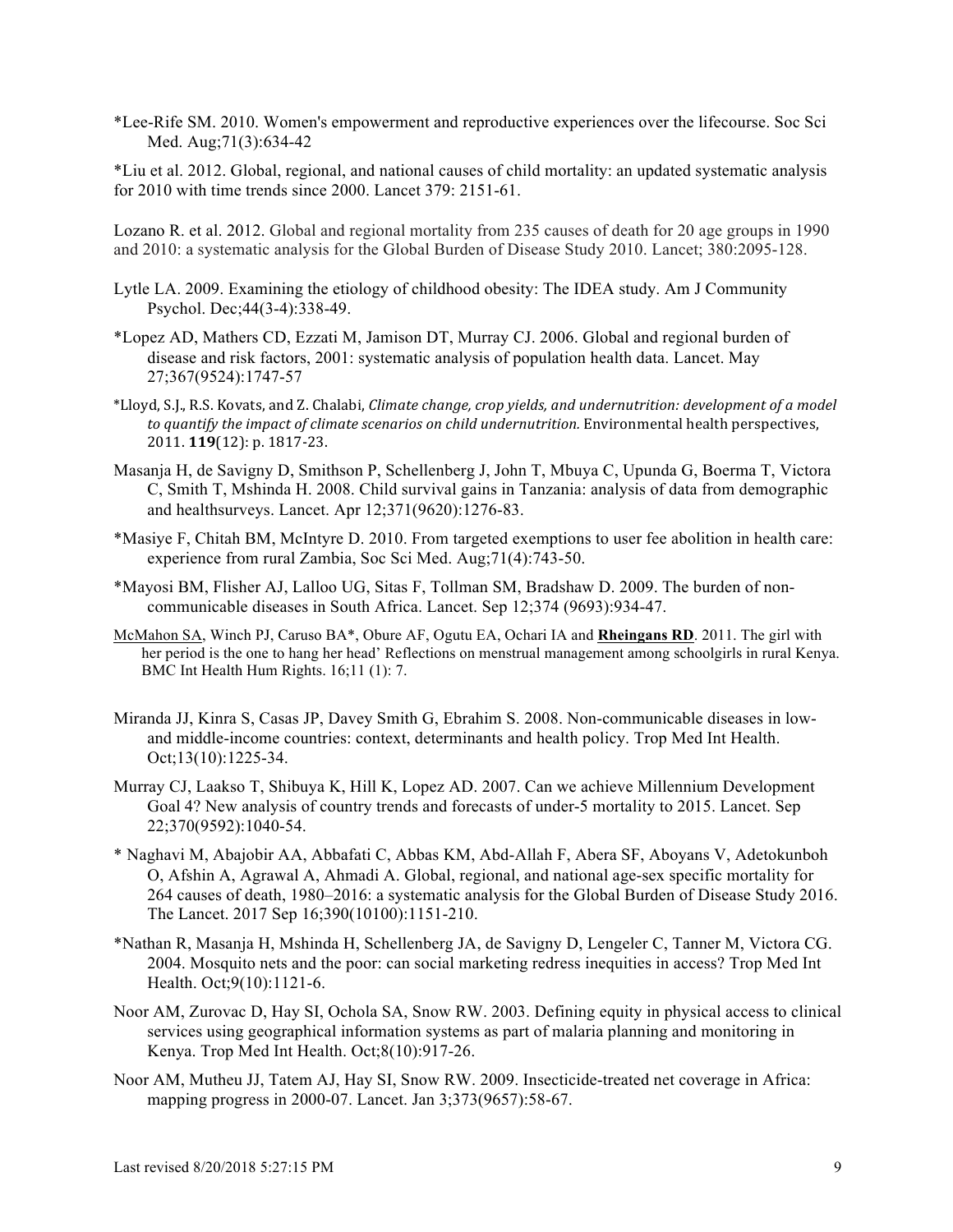\*Lee-Rife SM. 2010. Women's empowerment and reproductive experiences over the lifecourse. Soc Sci Med. Aug;71(3):634-42

\*Liu et al. 2012. Global, regional, and national causes of child mortality: an updated systematic analysis for 2010 with time trends since 2000. Lancet 379: 2151-61.

Lozano R. et al. 2012. Global and regional mortality from 235 causes of death for 20 age groups in 1990 and 2010: a systematic analysis for the Global Burden of Disease Study 2010. Lancet; 380:2095-128.

- Lytle LA. 2009. Examining the etiology of childhood obesity: The IDEA study. Am J Community Psychol. Dec;44(3-4):338-49.
- \*Lopez AD, Mathers CD, Ezzati M, Jamison DT, Murray CJ. 2006. Global and regional burden of disease and risk factors, 2001: systematic analysis of population health data. Lancet. May 27;367(9524):1747-57
- \*Lloyd, S.J., R.S. Kovats, and Z. Chalabi, *Climate change, crop yields, and undernutrition: development of a model* to quantify the *impact of climate scenarios on child undernutrition*. Environmental health perspectives, 2011. **119**(12): p. 1817-23.
- Masanja H, de Savigny D, Smithson P, Schellenberg J, John T, Mbuya C, Upunda G, Boerma T, Victora C, Smith T, Mshinda H. 2008. Child survival gains in Tanzania: analysis of data from demographic and healthsurveys. Lancet. Apr 12;371(9620):1276-83.
- \*Masiye F, Chitah BM, McIntyre D. 2010. From targeted exemptions to user fee abolition in health care: experience from rural Zambia, Soc Sci Med. Aug;71(4):743-50.
- \*Mayosi BM, Flisher AJ, Lalloo UG, Sitas F, Tollman SM, Bradshaw D. 2009. The burden of noncommunicable diseases in South Africa. Lancet. Sep 12;374 (9693):934-47.
- McMahon SA, Winch PJ, Caruso BA\*, Obure AF, Ogutu EA, Ochari IA and **Rheingans RD**. 2011. The girl with her period is the one to hang her head' Reflections on menstrual management among schoolgirls in rural Kenya. BMC Int Health Hum Rights. 16;11 (1): 7.
- Miranda JJ, Kinra S, Casas JP, Davey Smith G, Ebrahim S. 2008. Non-communicable diseases in lowand middle-income countries: context, determinants and health policy. Trop Med Int Health. Oct;13(10):1225-34.
- Murray CJ, Laakso T, Shibuya K, Hill K, Lopez AD. 2007. Can we achieve Millennium Development Goal 4? New analysis of country trends and forecasts of under-5 mortality to 2015. Lancet. Sep 22;370(9592):1040-54.
- \* Naghavi M, Abajobir AA, Abbafati C, Abbas KM, Abd-Allah F, Abera SF, Aboyans V, Adetokunboh O, Afshin A, Agrawal A, Ahmadi A. Global, regional, and national age-sex specific mortality for 264 causes of death, 1980–2016: a systematic analysis for the Global Burden of Disease Study 2016. The Lancet. 2017 Sep 16;390(10100):1151-210.
- \*Nathan R, Masanja H, Mshinda H, Schellenberg JA, de Savigny D, Lengeler C, Tanner M, Victora CG. 2004. Mosquito nets and the poor: can social marketing redress inequities in access? Trop Med Int Health. Oct;9(10):1121-6.
- Noor AM, Zurovac D, Hay SI, Ochola SA, Snow RW. 2003. Defining equity in physical access to clinical services using geographical information systems as part of malaria planning and monitoring in Kenya. Trop Med Int Health. Oct;8(10):917-26.
- Noor AM, Mutheu JJ, Tatem AJ, Hay SI, Snow RW. 2009. Insecticide-treated net coverage in Africa: mapping progress in 2000-07. Lancet. Jan 3;373(9657):58-67.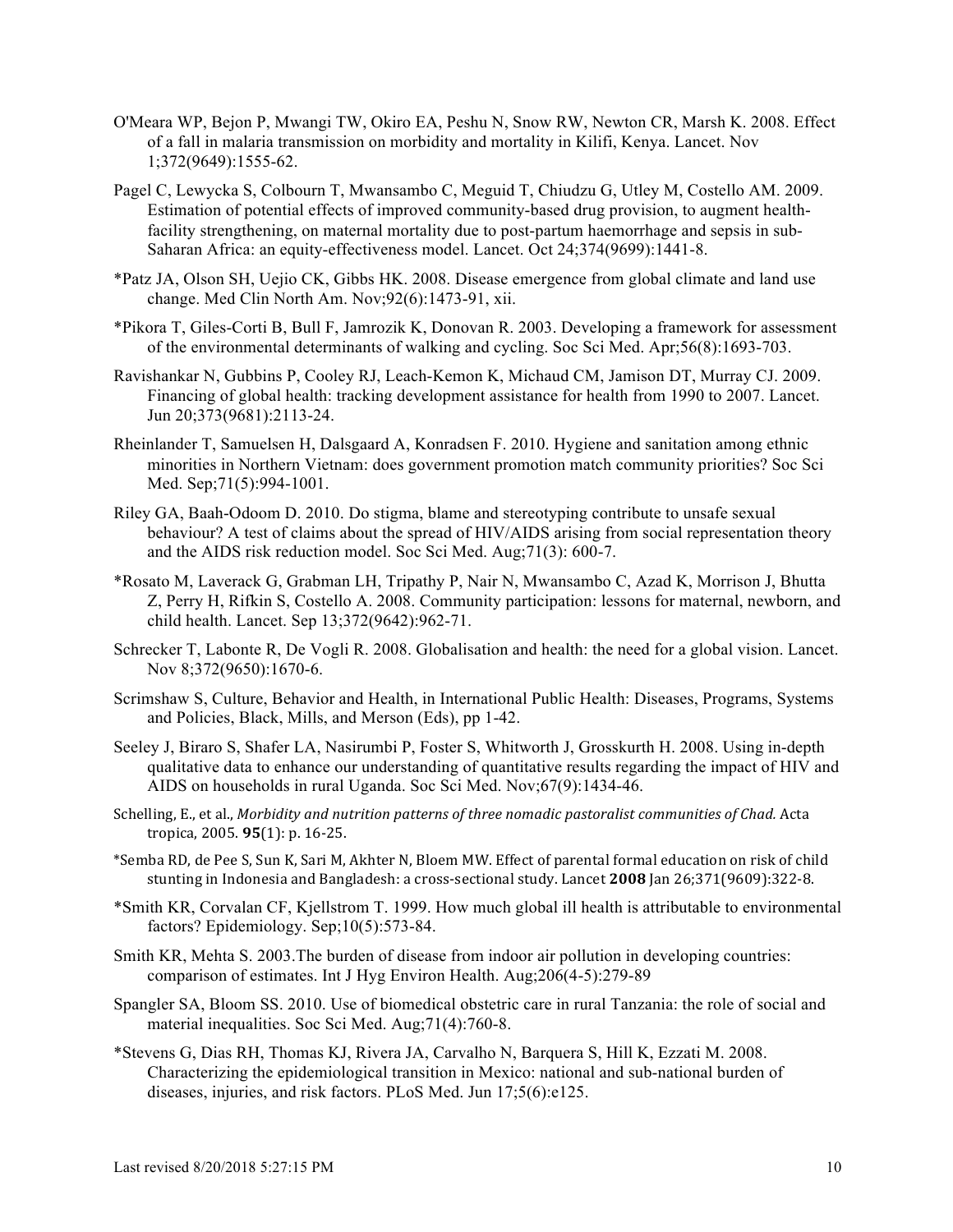- O'Meara WP, Bejon P, Mwangi TW, Okiro EA, Peshu N, Snow RW, Newton CR, Marsh K. 2008. Effect of a fall in malaria transmission on morbidity and mortality in Kilifi, Kenya. Lancet. Nov 1;372(9649):1555-62.
- Pagel C, Lewycka S, Colbourn T, Mwansambo C, Meguid T, Chiudzu G, Utley M, Costello AM. 2009. Estimation of potential effects of improved community-based drug provision, to augment healthfacility strengthening, on maternal mortality due to post-partum haemorrhage and sepsis in sub-Saharan Africa: an equity-effectiveness model. Lancet. Oct 24;374(9699):1441-8.
- \*Patz JA, Olson SH, Uejio CK, Gibbs HK. 2008. Disease emergence from global climate and land use change. Med Clin North Am. Nov;92(6):1473-91, xii.
- \*Pikora T, Giles-Corti B, Bull F, Jamrozik K, Donovan R. 2003. Developing a framework for assessment of the environmental determinants of walking and cycling. Soc Sci Med. Apr;56(8):1693-703.
- Ravishankar N, Gubbins P, Cooley RJ, Leach-Kemon K, Michaud CM, Jamison DT, Murray CJ. 2009. Financing of global health: tracking development assistance for health from 1990 to 2007. Lancet. Jun 20;373(9681):2113-24.
- Rheinlander T, Samuelsen H, Dalsgaard A, Konradsen F. 2010. Hygiene and sanitation among ethnic minorities in Northern Vietnam: does government promotion match community priorities? Soc Sci Med. Sep;71(5):994-1001.
- Riley GA, Baah-Odoom D. 2010. Do stigma, blame and stereotyping contribute to unsafe sexual behaviour? A test of claims about the spread of HIV/AIDS arising from social representation theory and the AIDS risk reduction model. Soc Sci Med. Aug;71(3): 600-7.
- \*Rosato M, Laverack G, Grabman LH, Tripathy P, Nair N, Mwansambo C, Azad K, Morrison J, Bhutta Z, Perry H, Rifkin S, Costello A. 2008. Community participation: lessons for maternal, newborn, and child health. Lancet. Sep 13;372(9642):962-71.
- Schrecker T, Labonte R, De Vogli R. 2008. Globalisation and health: the need for a global vision. Lancet. Nov 8:372(9650):1670-6.
- Scrimshaw S, Culture, Behavior and Health, in International Public Health: Diseases, Programs, Systems and Policies, Black, Mills, and Merson (Eds), pp 1-42.
- Seeley J, Biraro S, Shafer LA, Nasirumbi P, Foster S, Whitworth J, Grosskurth H. 2008. Using in-depth qualitative data to enhance our understanding of quantitative results regarding the impact of HIV and AIDS on households in rural Uganda. Soc Sci Med. Nov;67(9):1434-46.
- Schelling, E., et al., *Morbidity and nutrition patterns of three nomadic pastoralist communities of Chad.* Acta tropica, 2005. **95**(1): p. 16-25.
- \*Semba RD, de Pee S, Sun K, Sari M, Akhter N, Bloem MW. Effect of parental formal education on risk of child stunting in Indonesia and Bangladesh: a cross-sectional study. Lancet 2008 Jan 26;371(9609):322-8.
- \*Smith KR, Corvalan CF, Kjellstrom T. 1999. How much global ill health is attributable to environmental factors? Epidemiology. Sep;10(5):573-84.
- Smith KR, Mehta S. 2003.The burden of disease from indoor air pollution in developing countries: comparison of estimates. Int J Hyg Environ Health. Aug;206(4-5):279-89
- Spangler SA, Bloom SS. 2010. Use of biomedical obstetric care in rural Tanzania: the role of social and material inequalities. Soc Sci Med. Aug;71(4):760-8.
- \*Stevens G, Dias RH, Thomas KJ, Rivera JA, Carvalho N, Barquera S, Hill K, Ezzati M. 2008. Characterizing the epidemiological transition in Mexico: national and sub-national burden of diseases, injuries, and risk factors. PLoS Med. Jun 17;5(6):e125.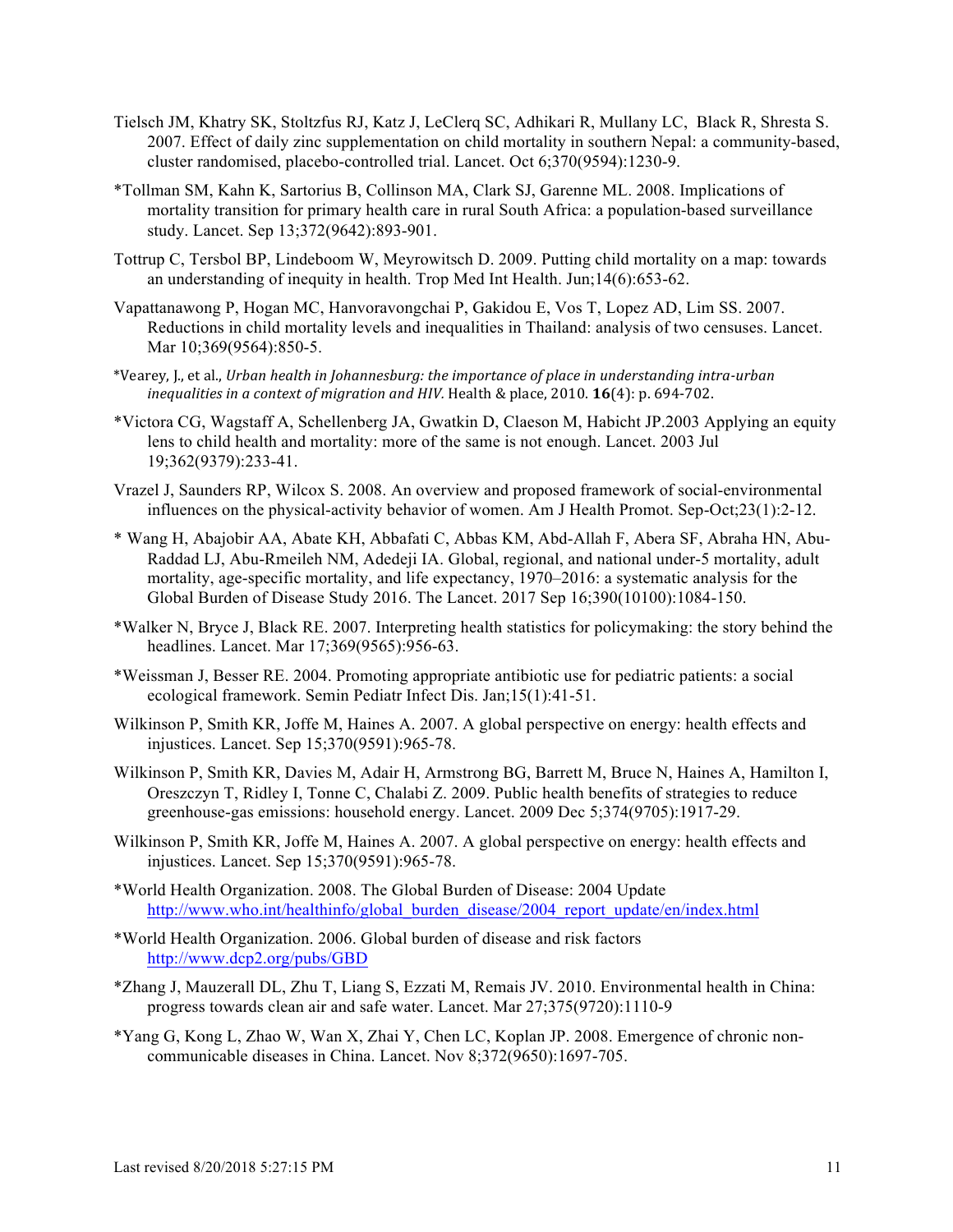- Tielsch JM, Khatry SK, Stoltzfus RJ, Katz J, LeClerq SC, Adhikari R, Mullany LC, Black R, Shresta S. 2007. Effect of daily zinc supplementation on child mortality in southern Nepal: a community-based, cluster randomised, placebo-controlled trial. Lancet. Oct 6;370(9594):1230-9.
- \*Tollman SM, Kahn K, Sartorius B, Collinson MA, Clark SJ, Garenne ML. 2008. Implications of mortality transition for primary health care in rural South Africa: a population-based surveillance study. Lancet. Sep 13;372(9642):893-901.
- Tottrup C, Tersbol BP, Lindeboom W, Meyrowitsch D. 2009. Putting child mortality on a map: towards an understanding of inequity in health. Trop Med Int Health. Jun;14(6):653-62.
- Vapattanawong P, Hogan MC, Hanvoravongchai P, Gakidou E, Vos T, Lopez AD, Lim SS. 2007. Reductions in child mortality levels and inequalities in Thailand: analysis of two censuses. Lancet. Mar 10;369(9564):850-5.
- \*Vearey, J., et al., *Urban health in Johannesburg: the importance of place in understanding intra-urban inequalities in a context of migration and HIV.* Health & place, 2010. **16**(4): p. 694-702.
- \*Victora CG, Wagstaff A, Schellenberg JA, Gwatkin D, Claeson M, Habicht JP.2003 Applying an equity lens to child health and mortality: more of the same is not enough. Lancet. 2003 Jul 19;362(9379):233-41.
- Vrazel J, Saunders RP, Wilcox S. 2008. An overview and proposed framework of social-environmental influences on the physical-activity behavior of women. Am J Health Promot. Sep-Oct;23(1):2-12.
- \* Wang H, Abajobir AA, Abate KH, Abbafati C, Abbas KM, Abd-Allah F, Abera SF, Abraha HN, Abu-Raddad LJ, Abu-Rmeileh NM, Adedeji IA. Global, regional, and national under-5 mortality, adult mortality, age-specific mortality, and life expectancy, 1970–2016: a systematic analysis for the Global Burden of Disease Study 2016. The Lancet. 2017 Sep 16;390(10100):1084-150.
- \*Walker N, Bryce J, Black RE. 2007. Interpreting health statistics for policymaking: the story behind the headlines. Lancet. Mar 17;369(9565):956-63.
- \*Weissman J, Besser RE. 2004. Promoting appropriate antibiotic use for pediatric patients: a social ecological framework. Semin Pediatr Infect Dis. Jan;15(1):41-51.
- Wilkinson P, Smith KR, Joffe M, Haines A. 2007. A global perspective on energy: health effects and injustices. Lancet. Sep 15;370(9591):965-78.
- Wilkinson P, Smith KR, Davies M, Adair H, Armstrong BG, Barrett M, Bruce N, Haines A, Hamilton I, Oreszczyn T, Ridley I, Tonne C, Chalabi Z. 2009. Public health benefits of strategies to reduce greenhouse-gas emissions: household energy. Lancet. 2009 Dec 5;374(9705):1917-29.
- Wilkinson P, Smith KR, Joffe M, Haines A. 2007. A global perspective on energy: health effects and injustices. Lancet. Sep 15;370(9591):965-78.
- \*World Health Organization. 2008. The Global Burden of Disease: 2004 Update http://www.who.int/healthinfo/global\_burden\_disease/2004\_report\_update/en/index.html
- \*World Health Organization. 2006. Global burden of disease and risk factors http://www.dcp2.org/pubs/GBD
- \*Zhang J, Mauzerall DL, Zhu T, Liang S, Ezzati M, Remais JV. 2010. Environmental health in China: progress towards clean air and safe water. Lancet. Mar 27;375(9720):1110-9
- \*Yang G, Kong L, Zhao W, Wan X, Zhai Y, Chen LC, Koplan JP. 2008. Emergence of chronic noncommunicable diseases in China. Lancet. Nov 8;372(9650):1697-705.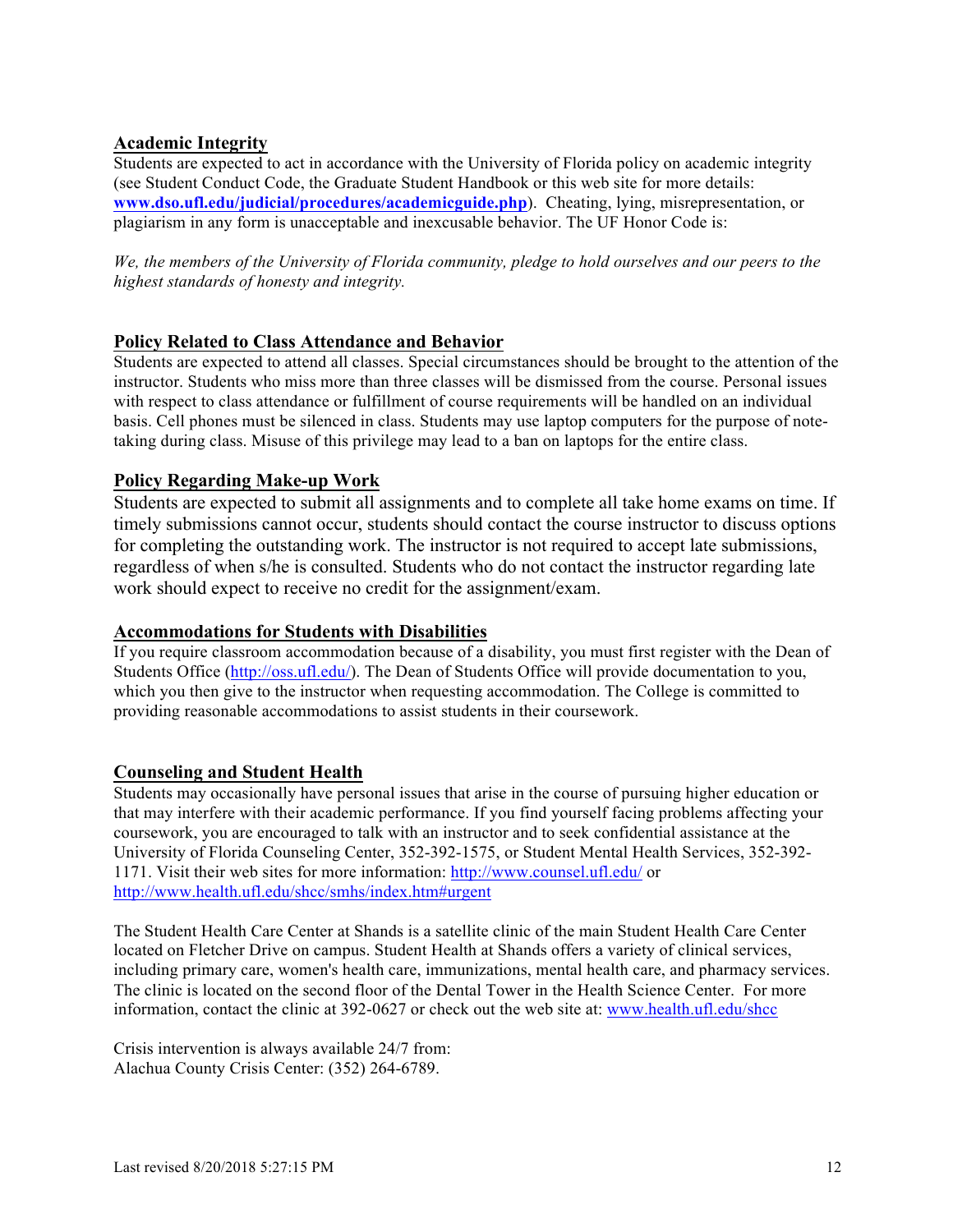## **Academic Integrity**

Students are expected to act in accordance with the University of Florida policy on academic integrity (see Student Conduct Code, the Graduate Student Handbook or this web site for more details: **www.dso.ufl.edu/judicial/procedures/academicguide.php**). Cheating, lying, misrepresentation, or plagiarism in any form is unacceptable and inexcusable behavior. The UF Honor Code is:

*We, the members of the University of Florida community, pledge to hold ourselves and our peers to the highest standards of honesty and integrity.*

## **Policy Related to Class Attendance and Behavior**

Students are expected to attend all classes. Special circumstances should be brought to the attention of the instructor. Students who miss more than three classes will be dismissed from the course. Personal issues with respect to class attendance or fulfillment of course requirements will be handled on an individual basis. Cell phones must be silenced in class. Students may use laptop computers for the purpose of notetaking during class. Misuse of this privilege may lead to a ban on laptops for the entire class.

## **Policy Regarding Make-up Work**

Students are expected to submit all assignments and to complete all take home exams on time. If timely submissions cannot occur, students should contact the course instructor to discuss options for completing the outstanding work. The instructor is not required to accept late submissions, regardless of when s/he is consulted. Students who do not contact the instructor regarding late work should expect to receive no credit for the assignment/exam.

## **Accommodations for Students with Disabilities**

If you require classroom accommodation because of a disability, you must first register with the Dean of Students Office (http://oss.ufl.edu/). The Dean of Students Office will provide documentation to you, which you then give to the instructor when requesting accommodation. The College is committed to providing reasonable accommodations to assist students in their coursework.

## **Counseling and Student Health**

Students may occasionally have personal issues that arise in the course of pursuing higher education or that may interfere with their academic performance. If you find yourself facing problems affecting your coursework, you are encouraged to talk with an instructor and to seek confidential assistance at the University of Florida Counseling Center, 352-392-1575, or Student Mental Health Services, 352-392- 1171. Visit their web sites for more information: http://www.counsel.ufl.edu/ or http://www.health.ufl.edu/shcc/smhs/index.htm#urgent

The Student Health Care Center at Shands is a satellite clinic of the main Student Health Care Center located on Fletcher Drive on campus. Student Health at Shands offers a variety of clinical services, including primary care, women's health care, immunizations, mental health care, and pharmacy services. The clinic is located on the second floor of the Dental Tower in the Health Science Center. For more information, contact the clinic at 392-0627 or check out the web site at: www.health.ufl.edu/shcc

Crisis intervention is always available 24/7 from: Alachua County Crisis Center: (352) 264-6789.